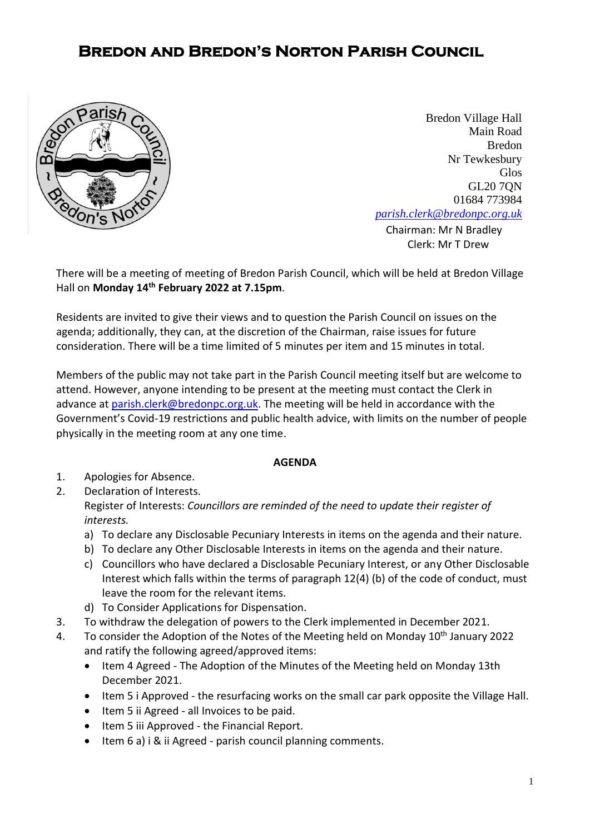## **Bredon and Bredon's Norton Parish Council**



**[Chairman:](mailto:parish.clerk@bredonpc.org.uk.com) Mr N Bradley** Bredon Village Hall Main Road Bredon Nr Tewkesbury Glos GL20 7QN 01684 773984 *[parish.clerk@bredonpc.org.uk](mailto:parish.clerk@bredonpc.org.uk.com)*

Clerk: Mr T Drew

There will be a meeting of meeting of Bredon Parish Council, which will be held at Bredon Village Hall on **Monday 14th February 2022 at 7.15pm**.

Residents are invited to give their views and to question the Parish Council on issues on the agenda; additionally, they can, at the discretion of the Chairman, raise issues for future consideration. There will be a time limited of 5 minutes per item and 15 minutes in total.

Members of the public may not take part in the Parish Council meeting itself but are welcome to attend. However, anyone intending to be present at the meeting must contact the Clerk in advance at [parish.clerk@bredonpc.org.uk.](mailto:parish.clerk@bredonpc.org.uk) The meeting will be held in accordance with the Government's Covid-19 restrictions and public health advice, with limits on the number of people physically in the meeting room at any one time.

## **AGENDA**

- 1. Apologies for Absence.
- 2. Declaration of Interests. Register of Interests: *Councillors are reminded of the need to update their register of interests.* 
	- a) To declare any Disclosable Pecuniary Interests in items on the agenda and their nature.
	- b) To declare any Other Disclosable Interests in items on the agenda and their nature.
	- c) Councillors who have declared a Disclosable Pecuniary Interest, or any Other Disclosable Interest which falls within the terms of paragraph 12(4) (b) of the code of conduct, must leave the room for the relevant items.
	- d) To Consider Applications for Dispensation.
- 3. To withdraw the delegation of powers to the Clerk implemented in December 2021.
- 4. To consider the Adoption of the Notes of the Meeting held on Monday 10<sup>th</sup> January 2022 and ratify the following agreed/approved items:
	- Item 4 Agreed The Adoption of the Minutes of the Meeting held on Monday 13th December 2021.
	- Item 5 i Approved the resurfacing works on the small car park opposite the Village Hall.
	- Item 5 ii Agreed all Invoices to be paid.
	- Item 5 iii Approved the Financial Report.
	- Item 6 a) i & ii Agreed parish council planning comments.